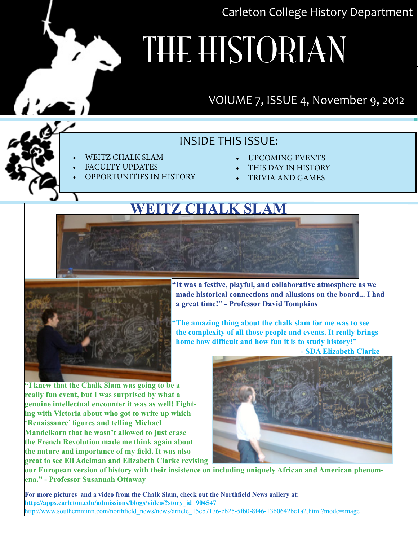Carleton College History Department

# **THE HISTORIAN**

#### VOlUME 7, ISSUE 4, November 9, 2012

#### INSIDE THIS ISSUE:

- WEITZ CHALK SLAM
- **FACULTY UPDATES**
- OPPORTUNITIES IN HISTORY
- UPCOMING EVENTS
- THIS DAY IN HISTORY
- **TRIVIA AND GAMES**

#### **weitz chalk slam**



 **"It was a festive, playful, and collaborative atmosphere as we made historical connections and allusions on the board... I had a great time!" - Professor David Tompkins** 

The amazing thing about the chalk slam for me was to see  **the complexity of all those people and events. It really brings home how difficult and how fun it is to study history!"** 

 **- SDA Elizabeth Clarke**

**"I knew that the Chalk Slam was going to be a really fun event, but I was surprised by what a genuine intellectual encounter it was as well! Fighting with Victoria about who got to write up which 'Renaissance' figures and telling Michael Mandelkorn that he wasn't allowed to just erase the French Revolution made me think again about the nature and importance of my field. It was also great to see Eli Adelman and Elizabeth Clarke revising** 



**our European version of history with their insistence on including uniquely African and American phenomena." - Professor Susannah Ottaway**

**For more pictures and a video from the Chalk Slam, check out the Northfield News gallery at: http://apps.carleton.edu/admissions/blogs/video/?story\_id=904547** http://www.southernminn.com/northfield\_news/news/article\_15cb7176-eb25-5fb0-8f46-1360642bc1a2.html?mode=image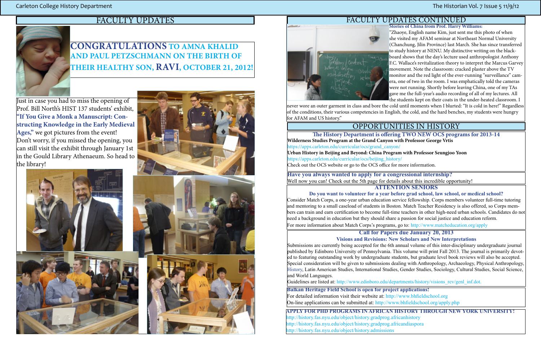### FACULTY UPDATES



#### OPPORTUNITIES IN HISTORY

**Stories of China from Prof. Harry Williams:**

"Zhaoye, English name Kim, just sent me this photo of when she visited my AFAM seminar at Northeast Normal University (Chanchung, Jilin Province) last March. She has since transferred to study history at NENU. My distinctive writing on the blackboard shows that the day's lecture used anthropologist Anthony F.C. Wallace's revitalization theory to interpret the Marcus Garvey movement. Note the classroom: cracked plaster above the TV monitor and the red light of the ever-running "surveillance" camera, one of two in the room. I was emphatically told the cameras were not running. Shortly before leaving China, one of my TAs gave me the full-year's audio recording of all of my lectures. All the students kept on their coats in the under-heated classroom. I never wore an outer garment in class and bore the cold until moments when I blurted: "It is cold in here!" Regardless of the conditions, their various competencies in English, the cold, and the hard benches, my students were hungry for AFAM and US history."

The History Department is offering TWO NEW OCS programs for 2013-14 **Wilderness Studies Program at the Grand Canyon with Professor George Vrtis** https://apps.carleton.edu/curricular/ocs/grand\_canyon/ **Urban History in Beijing and Beyond: China Program with Professor Seungjoo Yoon**  https://apps.carleton.edu/curricular/ocs/beijing\_history/ Check out the OCS website or go to the OCS office for more information.

Consider Match Corps, a one-year urban education service fellowship. Corps members volunteer full-time tutoring and mentoring to a small caseload of students in Boston. Match Teacher Residency is also offered, so Corps members can train and earn certification to become full-time teachers in other high-need urban schools. Candidates do not need a background in education but they should share a passion for social justice and education reform. For more information about Match Corps's programs, go to: http://www.matcheducation.org/apply

**Have you always wanted to apply for a congressional internship?** Well now you can! Check out the 5th page for details about this incredible opportunity! **ATTENTION SENIORS**

**Do you want to volunteer for a year before grad school, law school, or medical school?**

**Call for Papers due January 20, 2013**

**Visions and Revisions: New Scholars and New Interpretations**

Submissions are currently being accepted for the 6th annual volume of this inter-disciplinary undergraduate journal published by Edinboro University of Pennsylvania. This volume will print Fall 2013. The journal is primarily devoted to featuring outstanding work by undergraduate students, but graduate level book reviews will also be accepted. Special consideration will be given to submissions dealing with Anthropology, Archaeology, Physical Anthropology, History, Latin American Studies, International Studies, Gender Studies, Sociology, Cultural Studies, Social Science, and World Languages.

Guidelines are listed at: http://www.edinboro.edu/departments/history/visions\_rev/genl\_inf.dot.

#### FACULTY UPDATES CONTINUED

### **Congratulations to Amna Khalid and Paul Petzschmann on the birth of their healthy son, Ravi, October 21, 2012!**

Just in case you had to miss the opening of Prof. Bill North's HIST 137 students' exhibit, **"If You Give a Monk a Manuscript: Constructing Knowledge in the Early Medieval Ages,"** we got pictures from the event! Don't worry, if you missed the opening, you can still visit the exhibit through January 1st in the Gould Library Athenaeum. So head to the library!







**Balkan Heritage Field School is open for project applications!** For detailed information visit their website at: http://www.bhfieldschool.org On-line applications can be submitted at: http://www.bhfieldschool.org/apply.php

**Apply for PhD programs in African History through New York University!** http://history.fas.nyu.edu/object/history.gradprog.africanhistory http://history.fas.nyu.edu/object/history.gradprog.africandiaspora http://history.fas.nyu.edu/object/history.admissions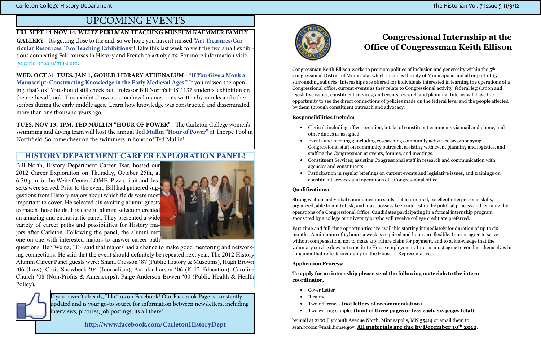If you haven't already, "like" us on Facebook! Our Facebook Page is constantly updated and is your go-to source for information between newsletters, including interviews, pictures, job postings, its all there!

**[http://www.facebook.com/CarletonHistoryDept](%20%20http://www.facebook.com/CarletonHistoryDept)**



**Fri. Sept 14-Nov 14, Weitz Perlman Teaching Museum Kaemmer Family Gallery** - It's getting close to the end, so we hope you haven't missed **"Art Treasures/Curricular Resources: Two Teaching Exhibitions"**! Take this last week to visit the two small exhibitions connecting Fall courses in History and French to art objects. For more information visit: <go.carleton.edu/museum>.

**WEd. oct 31-tues. jan 1, gould library athenaeum - "If You Give a Monk a Manuscript: Constructing Knowledge in the Early Medieval Ages."** If you missed the opening, that's ok! You should still check out Professor Bill North's HIST 137 students' exhibition on the medieval book. This exhibit showcases medieval manuscripts written by monks and other scribes during the early middle ages. Learn how knowledge was constructed and disseminated more than one thousand years ago.

**TUES. NOV 13, 4pm, ted mullin "hour of power"** - The Carleton College women's swimming and diving team will host the annual **Ted Mullin "Hour of Power"** at Thorpe Pool in Northfield. So come cheer on the swimmers in honor of Ted Mullin!

Carleton College History Department **The Historian Vol. 7** Issue 5 11/9/12

### upcoming events

Congressman Keith Ellison works to promote politics of inclusion and generosity within the  $5<sup>th</sup>$ Congressional District of Minnesota; which includes the city of Minneapolis and all or part of 15 surrounding suburbs. Internships are offered for individuals interested in learning the operations of a Congressional office, current events as they relate to Congressional activity, federal legislation and legislative issues, constituent services, and events research and planning. Interns will have the opportunity to see the direct connections of policies made on the federal level and the people affected by them through constituent outreach and advocacy.

Bill North, History Department Career Tsar, hosted our 2012 Career Exploration on Thursday, October 25th, at 6:30 p.m. in the Weitz Center LOME. Pizza, fruit and desserts were served. Prior to the event, Bill had gathered suggestions from History majors about which fields were most important to cover. He selected six exciting alumni guests to match those fields. His careful alumni selection created an amazing and enthusiastic panel. They presented a wide variety of career paths and possibilities for History majors after Carleton. Following the panel, the alumni met one-on-one with interested majors to answer career path



questions. Ben Welna, '13, said that majors had a chance to make good mentoring and networking connections. He said that the event should definitely be repeated next year. The 2012 History Alumni Career Panel guests were: Shana Crosson '87 (Public History & Museums), Hugh Brown '06 (Law), Chris Snowbeck '04 (Journalism), Annaka Larson '06 (K-12 Education), Caroline Church '08 (Non-Profits & Americorps), Paige Anderson Bowen '00 (Public Health & Health Policy).



#### **HISTORY DEPARTMENT CAREER EXPLORATION PANEL!**

by mail at 2100 Plymouth Avenue North, Minneapolis, MN 55414 or email them to sean.broom@mail.house.gov. All materials are due by December 10<sup>th</sup> 2012.

### Congressional Internship at the Office of Congressman Keith Ellison

#### Responsibilities Include:

• Clerical; including office reception, intake of constituent comments via mail and phone, and

Congressional staff on community outreach, assisting with event planning and logistics, and

- other duties as assigned.
- Events and meetings; including researching community activities, accompanying staffing the Congressman at events, forums, and meetings.
- Constituent Services; assisting Congressional staff in research and communication with agencies and constituents.
- constituent services and operations of a Congressional office.

• Participation in regular briefings on current events and legislative issues, and trainings on

#### Qualifications:

Strong written and verbal communication skills, detail oriented, excellent interpersonal skills, organized, able to multi-task, and must possess keen interest in the political process and learning the operations of a Congressional Office. Candidates participating in a formal internship program sponsored by a college or university or who will receive college credit are preferred.

Part-time and full-time opportunities are available starting immediately for duration of up to six months. A minimum of 15 hours a week is required and hours are flexible. Interns agree to serve without compensation, not to make any future claim for payment, and to acknowledge that the voluntary service does not constitute House employment. Interns must agree to conduct themselves in a manner that reflects creditably on the House of Representatives.

#### Application Process:

To apply for an internship please send the following materials to the intern coordinator,

- Cover Letter
- Resume
- Two references (not letters of recommendation)
- Two writing samples (limit of three pages or less each, six pages total)